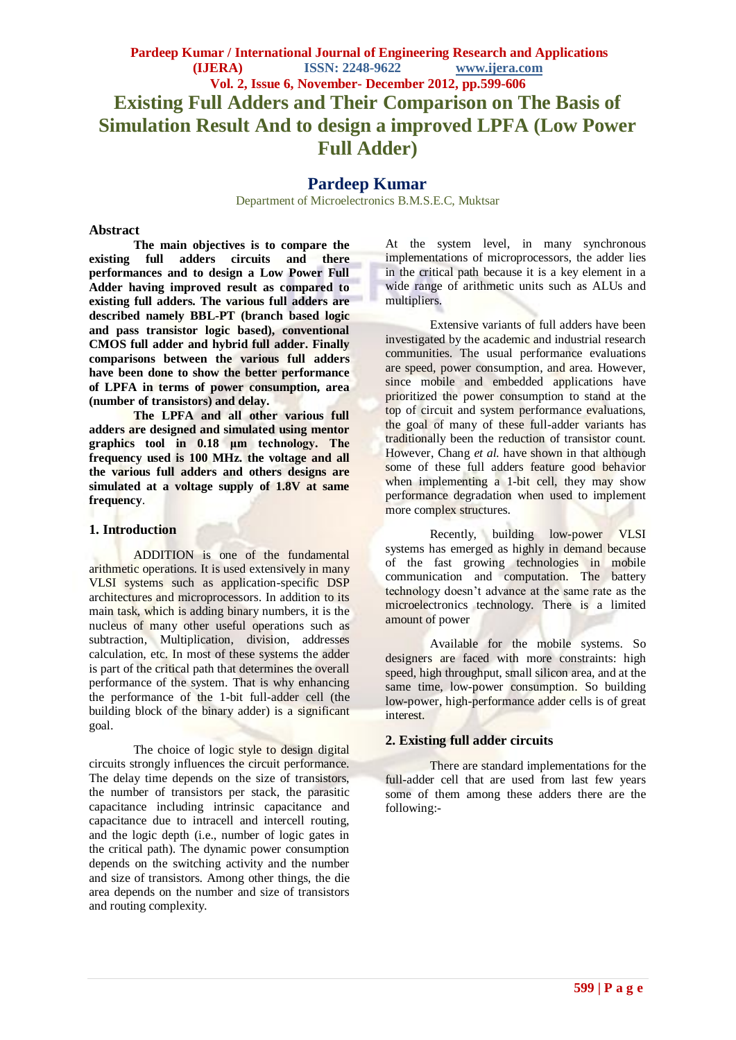# **Pardeep Kumar**

Department of Microelectronics B.M.S.E.C, Muktsar

#### **Abstract**

**The main objectives is to compare the existing full adders circuits and there performances and to design a Low Power Full Adder having improved result as compared to existing full adders. The various full adders are described namely BBL-PT (branch based logic and pass transistor logic based), conventional CMOS full adder and hybrid full adder. Finally comparisons between the various full adders have been done to show the better performance of LPFA in terms of power consumption, area (number of transistors) and delay.** 

**The LPFA and all other various full adders are designed and simulated using mentor graphics tool in 0.18 μm technology. The frequency used is 100 MHz. the voltage and all the various full adders and others designs are simulated at a voltage supply of 1.8V at same frequency**.

#### **1. Introduction**

ADDITION is one of the fundamental arithmetic operations. It is used extensively in many VLSI systems such as application-specific DSP architectures and microprocessors. In addition to its main task, which is adding binary numbers, it is the nucleus of many other useful operations such as subtraction, Multiplication, division, addresses calculation, etc. In most of these systems the adder is part of the critical path that determines the overall performance of the system. That is why enhancing the performance of the 1-bit full-adder cell (the building block of the binary adder) is a significant goal.

The choice of logic style to design digital circuits strongly influences the circuit performance. The delay time depends on the size of transistors, the number of transistors per stack, the parasitic capacitance including intrinsic capacitance and capacitance due to intracell and intercell routing, and the logic depth (i.e., number of logic gates in the critical path). The dynamic power consumption depends on the switching activity and the number and size of transistors. Among other things, the die area depends on the number and size of transistors and routing complexity.

At the system level, in many synchronous implementations of microprocessors, the adder lies in the critical path because it is a key element in a wide range of arithmetic units such as ALUs and multipliers.

Extensive variants of full adders have been investigated by the academic and industrial research communities. The usual performance evaluations are speed, power consumption, and area. However, since mobile and embedded applications have prioritized the power consumption to stand at the top of circuit and system performance evaluations, the goal of many of these full-adder variants has traditionally been the reduction of transistor count. However, Chang *et al.* have shown in that although some of these full adders feature good behavior when implementing a 1-bit cell, they may show performance degradation when used to implement more complex structures.

Recently, building low-power VLSI systems has emerged as highly in demand because of the fast growing technologies in mobile communication and computation. The battery technology doesn't advance at the same rate as the microelectronics technology. There is a limited amount of power

Available for the mobile systems. So designers are faced with more constraints: high speed, high throughput, small silicon area, and at the same time, low-power consumption. So building low-power, high-performance adder cells is of great interest.

#### **2. Existing full adder circuits**

There are standard implementations for the full-adder cell that are used from last few years some of them among these adders there are the following:-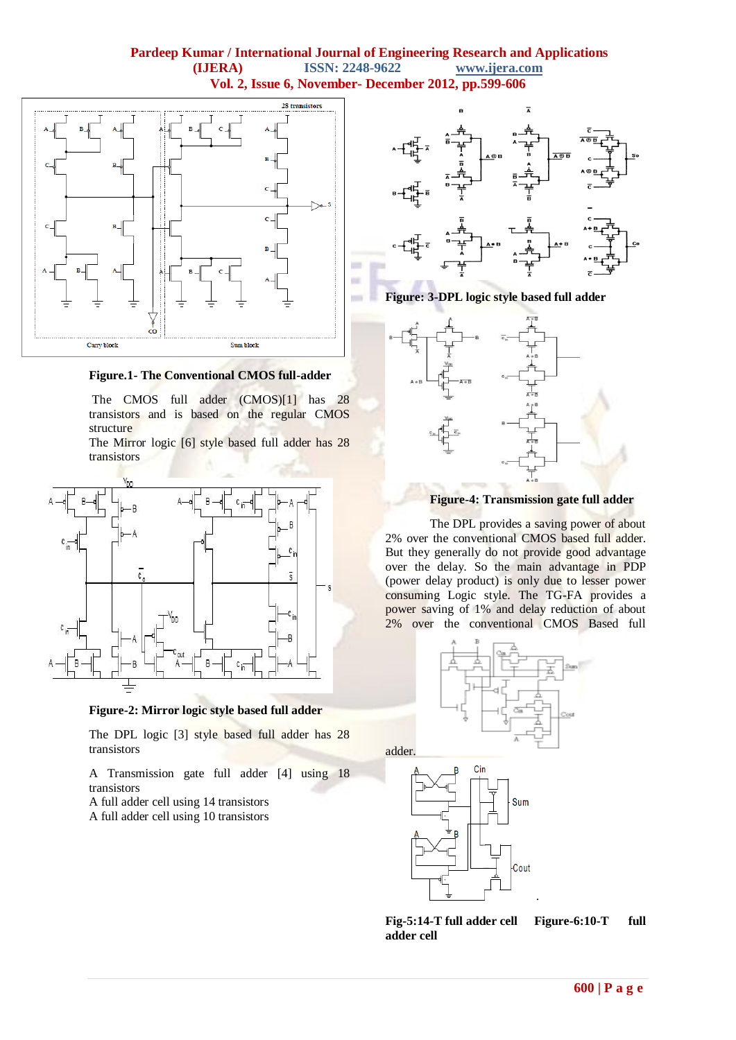

**Figure.1- The Conventional CMOS full-adder**

The CMOS full adder (CMOS)[1] has 28 transistors and is based on the regular CMOS structure

The Mirror logic [6] style based full adder has 28 transistors



**Figure-2: Mirror logic style based full adder**

The DPL logic [3] style based full adder has 28 transistors

A Transmission gate full adder [4] using 18 transistors

A full adder cell using 14 transistors

A full adder cell using 10 transistors

![](_page_1_Figure_11.jpeg)

**Figure: 3-DPL logic style based full adder**

![](_page_1_Figure_13.jpeg)

![](_page_1_Figure_14.jpeg)

The DPL provides a saving power of about 2% over the conventional CMOS based full adder. But they generally do not provide good advantage over the delay. So the main advantage in PDP (power delay product) is only due to lesser power consuming Logic style. The TG-FA provides a power saving of 1% and delay reduction of about 2% over the conventional CMOS Based full

![](_page_1_Figure_16.jpeg)

![](_page_1_Figure_17.jpeg)

**Fig-5:14-T full adder cell Figure-6:10-T full adder cell**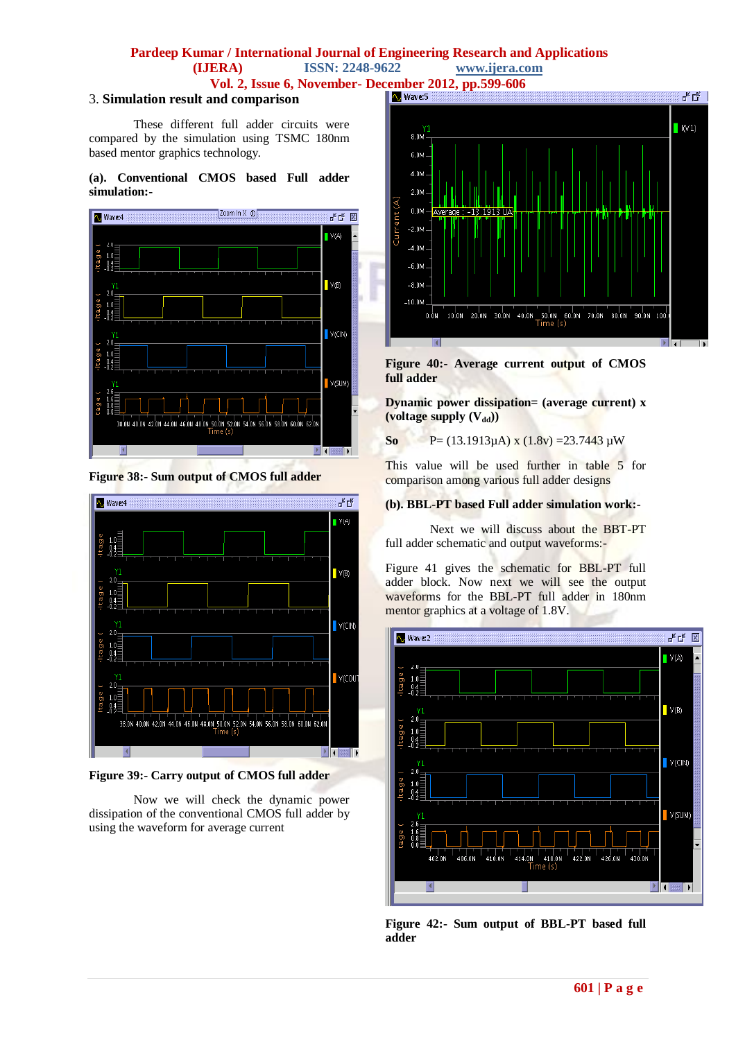#### **Pardeep Kumar / International Journal of Engineering Research and Applications (IJERA) ISSN: 2248-9622 www.ijera.com**

**Vol. 2, Issue 6, November- December 2012, pp.599-606**<br>and comparison

#### 3. **Simulation result and comparison**

These different full adder circuits were compared by the simulation using TSMC 180nm based mentor graphics technology.

#### **(a). Conventional CMOS based Full adder simulation:-**

![](_page_2_Figure_5.jpeg)

**Figure 38:- Sum output of CMOS full adder**

![](_page_2_Figure_7.jpeg)

**Figure 39:- Carry output of CMOS full adder**

Now we will check the dynamic power dissipation of the conventional CMOS full adder by using the waveform for average current

![](_page_2_Figure_10.jpeg)

**Figure 40:- Average current output of CMOS full adder**

**Dynamic power dissipation= (average current) x**   $(voltage supply (V_{dd}))$ 

**So** P= (13.1913 $\mu$ A) x (1.8v) =23.7443  $\mu$ W

This value will be used further in table 5 for comparison among various full adder designs

#### **(b). BBL-PT based Full adder simulation work:-**

Next we will discuss about the BBT-PT full adder schematic and output waveforms:-

Figure 41 gives the schematic for BBL-PT full adder block. Now next we will see the output waveforms for the BBL-PT full adder in 180nm mentor graphics at a voltage of 1.8V.

![](_page_2_Figure_18.jpeg)

**Figure 42:- Sum output of BBL-PT based full adder**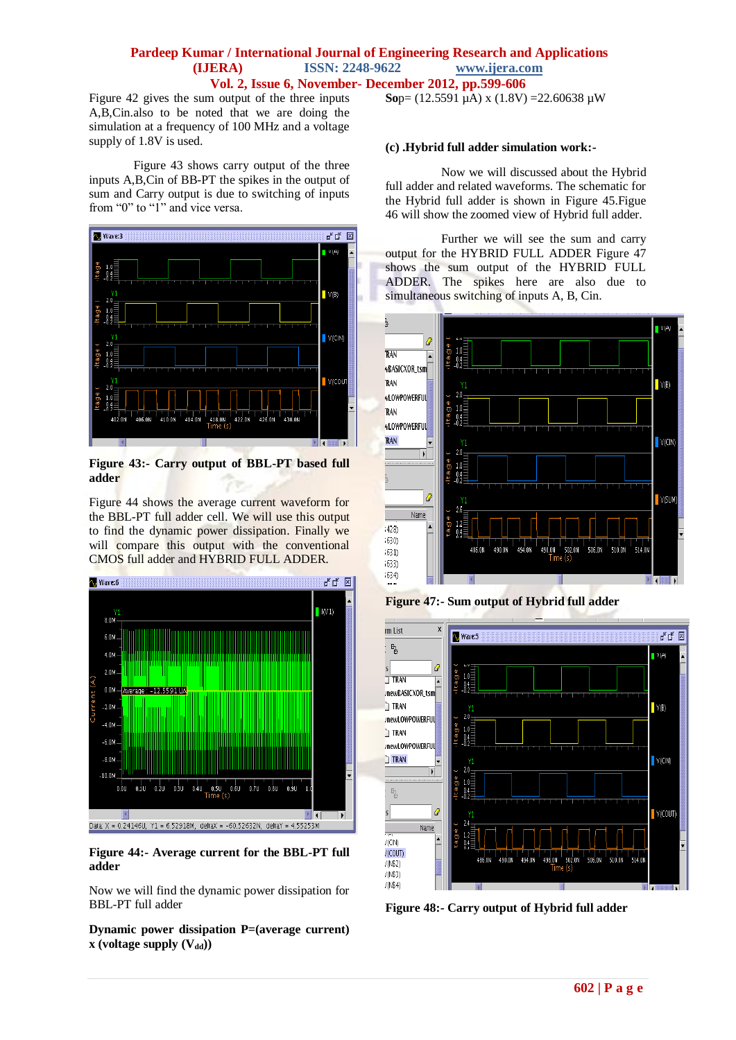Figure 42 gives the sum output of the three inputs A,B,Cin.also to be noted that we are doing the simulation at a frequency of 100 MHz and a voltage supply of 1.8V is used.

Figure 43 shows carry output of the three inputs A,B,Cin of BB-PT the spikes in the output of sum and Carry output is due to switching of inputs from "0" to "1" and vice versa.

![](_page_3_Figure_3.jpeg)

**Figure 43:- Carry output of BBL-PT based full adder** 

Figure 44 shows the average current waveform for the BBL-PT full adder cell. We will use this output to find the dynamic power dissipation. Finally we will compare this output with the conventional CMOS full adder and HYBRID FULL ADDER.

![](_page_3_Figure_6.jpeg)

**Figure 44:- Average current for the BBL-PT full adder**

Now we will find the dynamic power dissipation for BBL-PT full adder

**Dynamic power dissipation P=(average current) x** (voltage supply  $(V_{dd})$ )

**So**p=  $(12.5591 \text{ µA}) \times (1.8 \text{ V}) = 22.60638 \text{ µW}$ 

#### **(c) .Hybrid full adder simulation work:-**

Now we will discussed about the Hybrid full adder and related waveforms. The schematic for the Hybrid full adder is shown in Figure 45.Figue 46 will show the zoomed view of Hybrid full adder.

Further we will see the sum and carry output for the HYBRID FULL ADDER Figure 47 shows the sum output of the HYBRID FULL ADDER. The spikes here are also due to simultaneous switching of inputs A, B, Cin.

![](_page_3_Figure_14.jpeg)

**Figure 47:- Sum output of Hybrid full adder**

![](_page_3_Figure_16.jpeg)

**Figure 48:- Carry output of Hybrid full adder**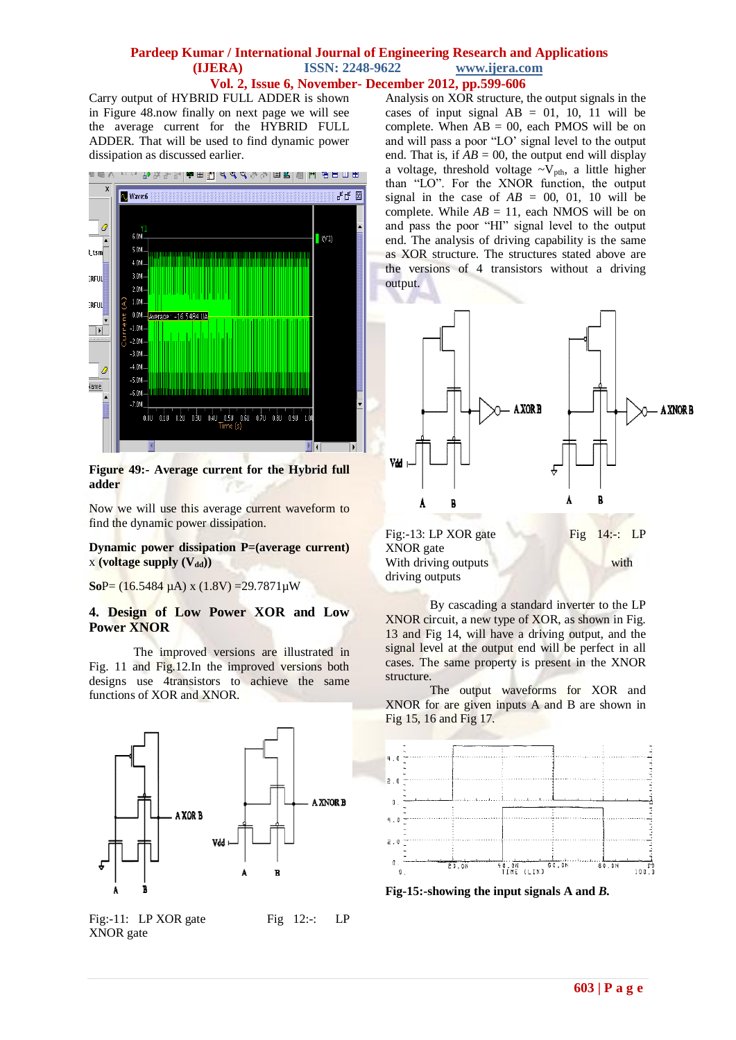Carry output of HYBRID FULL ADDER is shown in Figure 48.now finally on next page we will see the average current for the HYBRID FULL ADDER. That will be used to find dynamic power dissipation as discussed earlier.

![](_page_4_Figure_2.jpeg)

#### **Figure 49:- Average current for the Hybrid full adder**

Now we will use this average current waveform to find the dynamic power dissipation.

#### **Dynamic power dissipation P=(average current)**  x **(voltage supply (Vdd))**

**So**P= (16.5484 µA) x (1.8V) =29.7871µW

## **4. Design of Low Power XOR and Low Power XNOR**

The improved versions are illustrated in Fig. 11 and Fig.12.In the improved versions both designs use 4transistors to achieve the same functions of XOR and XNOR.

![](_page_4_Figure_9.jpeg)

Fig:-11: LP XOR gate Fig  $12:-$  LP XNOR gate

Analysis on XOR structure, the output signals in the cases of input signal  $AB = 01$ , 10, 11 will be complete. When  $AB = 00$ , each PMOS will be on and will pass a poor "LO' signal level to the output end. That is, if  $AB = 00$ , the output end will display a voltage, threshold voltage  $\sim$ V<sub>nth</sub>, a little higher than "LO". For the XNOR function, the output signal in the case of  $AB = 00$ , 01, 10 will be complete. While  $AB = 11$ , each NMOS will be on and pass the poor "HI" signal level to the output end. The analysis of driving capability is the same as XOR structure. The structures stated above are the versions of 4 transistors without a driving output.

![](_page_4_Figure_12.jpeg)

By cascading a standard inverter to the LP XNOR circuit, a new type of XOR, as shown in Fig. 13 and Fig 14, will have a driving output, and the signal level at the output end will be perfect in all cases. The same property is present in the XNOR structure.

The output waveforms for XOR and XNOR for are given inputs A and B are shown in Fig 15, 16 and Fig 17.

![](_page_4_Figure_15.jpeg)

**Fig-15:-showing the input signals A and** *B.*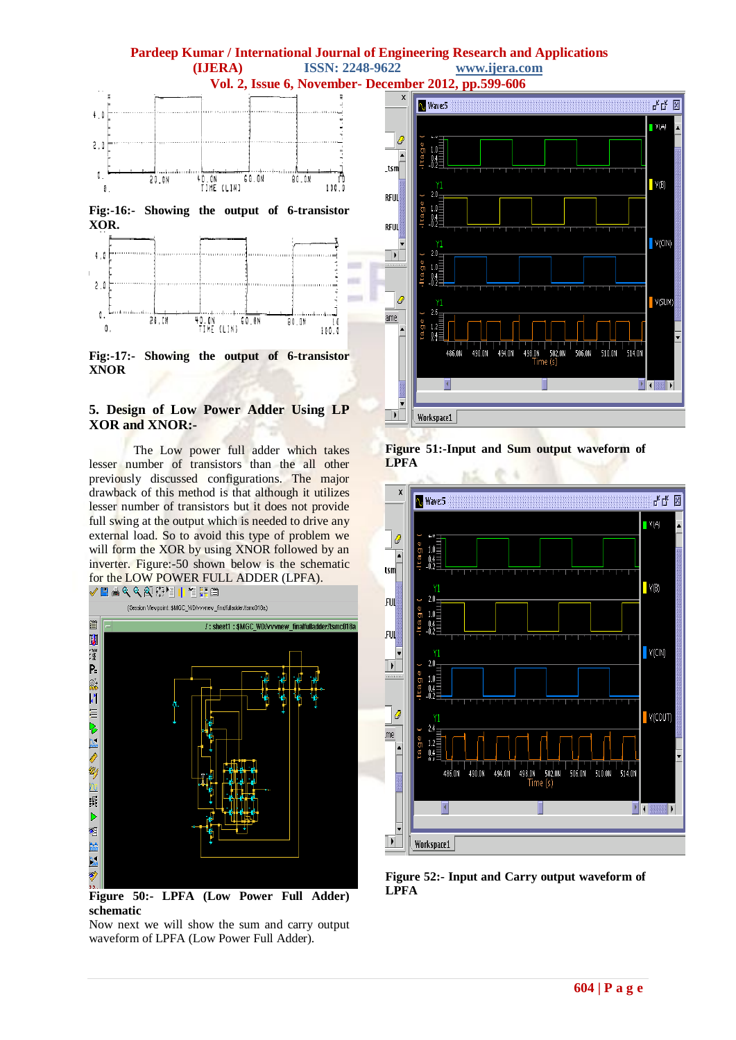# **Pardeep Kumar / International Journal of Engineering Research and Applications (IJERA)** ISSN: 2248-9622 www.ijera.com **(IJERA)** ISSN: 2248-9622

![](_page_5_Figure_1.jpeg)

**Fig:-16:- Showing the output of 6-transistor XOR.**

![](_page_5_Figure_3.jpeg)

**Fig:-17:- Showing the output of 6-transistor XNOR**

# **5. Design of Low Power Adder Using LP XOR and XNOR:-**

The Low power full adder which takes lesser number of transistors than the all other previously discussed configurations. The major drawback of this method is that although it utilizes lesser number of transistors but it does not provide full swing at the output which is needed to drive any external load. So to avoid this type of problem we will form the XOR by using XNOR followed by an inverter. Figure:-50 shown below is the schematic for the LOW POWER FULL ADDER (LPFA).

![](_page_5_Figure_7.jpeg)

**Figure 50:- LPFA (Low Power Full Adder) schematic**

Now next we will show the sum and carry output waveform of LPFA (Low Power Full Adder).

![](_page_5_Figure_10.jpeg)

**Figure 51:-Input and Sum output waveform of LPFA**

![](_page_5_Figure_12.jpeg)

**Figure 52:- Input and Carry output waveform of LPFA**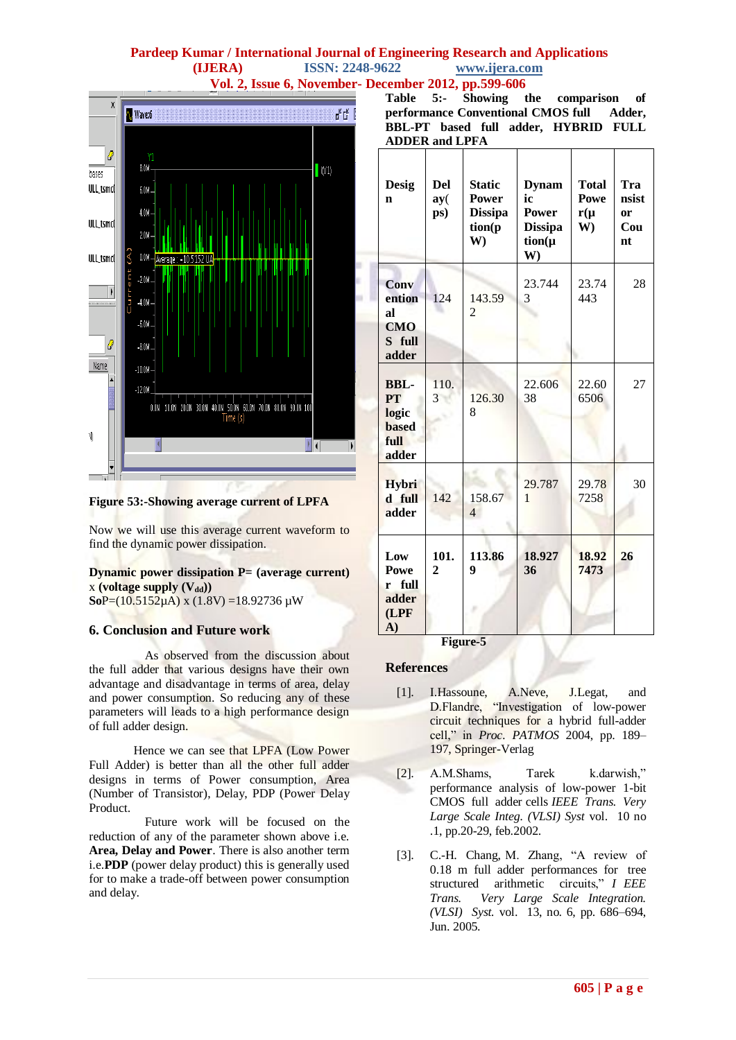![](_page_6_Figure_1.jpeg)

**Figure 53:-Showing average current of LPFA**

Now we will use this average current waveform to find the dynamic power dissipation.

#### **Dynamic power dissipation P= (average current)**  $x$  (voltage supply  $(V_{dd})$ )  $SoP = (10.5152 \mu A)$  x  $(1.8V) = 18.92736 \mu W$

## **6. Conclusion and Future work**

As observed from the discussion about the full adder that various designs have their own advantage and disadvantage in terms of area, delay and power consumption. So reducing any of these parameters will leads to a high performance design of full adder design.

Hence we can see that LPFA (Low Power Full Adder) is better than all the other full adder designs in terms of Power consumption, Area (Number of Transistor), Delay, PDP (Power Delay Product.

Future work will be focused on the reduction of any of the parameter shown above i.e. **Area, Delay and Power**. There is also another term i.e.**PDP** (power delay product) this is generally used for to make a trade-off between power consumption and delay.

|                                           |  |  |  |  | Table 5:- Showing the comparison of  |  |  |  |  |
|-------------------------------------------|--|--|--|--|--------------------------------------|--|--|--|--|
| performance Conventional CMOS full Adder, |  |  |  |  |                                      |  |  |  |  |
|                                           |  |  |  |  | BBL-PT based full adder, HYBRID FULL |  |  |  |  |
| <b>ADDER and LPFA</b>                     |  |  |  |  |                                      |  |  |  |  |

| <b>Desig</b><br>n                                                  | <b>Del</b><br>ay(<br>ps) | <b>Static</b><br><b>Power</b><br><b>Dissipa</b><br>tion(p<br>W | <b>Dynam</b><br>ic<br>Power<br><b>Dissipa</b><br>$tion(\mu$<br>W) | <b>Total</b><br>Powe<br>$r(\mu)$<br>W) | Tra<br>nsist<br>or<br>Cou<br>nt |
|--------------------------------------------------------------------|--------------------------|----------------------------------------------------------------|-------------------------------------------------------------------|----------------------------------------|---------------------------------|
| <b>Conv</b><br>ention<br>al<br><b>CMO</b><br>S full<br>adder       | 124                      | 143.59<br>$\overline{2}$                                       | 23.744<br>3                                                       | 23.74<br>443                           | 28                              |
| <b>BBL-</b><br>PT<br>logic<br><b>based</b><br><b>full</b><br>adder | 110.<br>3                | 126.30<br>8                                                    | 22.606<br>38                                                      | 22.60<br>6506                          | 27                              |
| Hybri<br>d full<br>adder                                           | 142                      | 158.67<br>$\overline{4}$                                       | 29.787<br>$\mathbf{1}$                                            | 29.78<br>7258                          | 30                              |
| Low<br><b>Powe</b><br><b>full</b><br>r<br>adder<br>(LPF)<br>A)     | 101.<br>$\overline{2}$   | 113.86<br>9                                                    | 18.927<br>36                                                      | 18.92<br>7473                          | 26                              |

**Figure-5**

## **References**

- [1]. I.Hassoune, A.Neve, J.Legat, and D.Flandre, "Investigation of low-power circuit techniques for a hybrid full-adder cell," in *Proc. PATMOS* 2004, pp. 189– 197, Springer-Verlag
- [2]. A.M.Shams, Tarek k.darwish," performance analysis of low-power 1-bit CMOS full adder cells *IEEE Trans. Very Large Scale Integ. (VLSI) Syst* vol. 10 no .1, pp.20-29, feb.2002.
- [3]. C.-H. Chang, M. Zhang, "A review of 0.18 m full adder performances for tree structured arithmetic circuits," *I EEE Trans. Very Large Scale Integration. (VLSI) Syst.* vol. 13, no. 6, pp. 686–694, Jun. 2005.